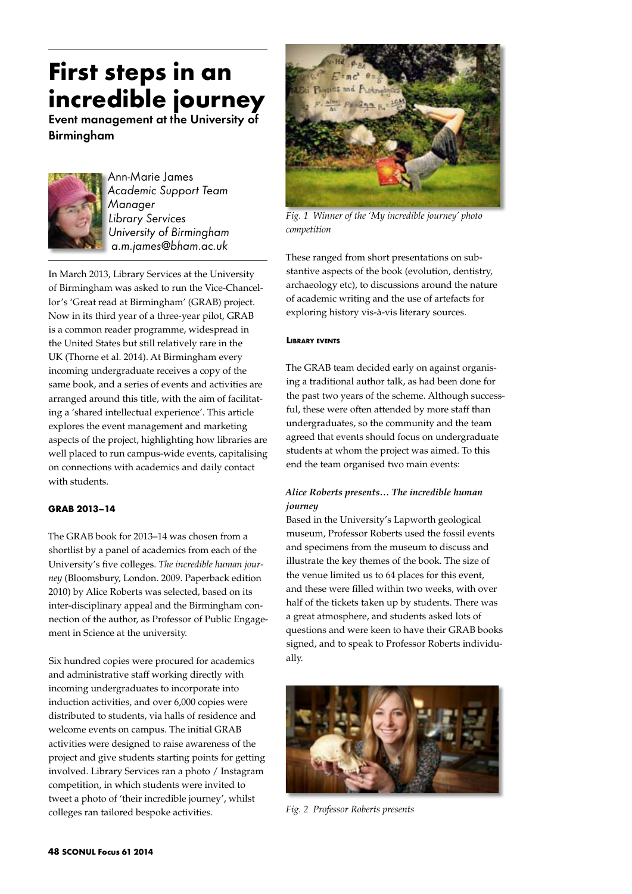# **First steps in an incredible journey**

Event management at the University of **Birmingham** 



Ann-Marie James *Academic Support Team Manager Library Services University of Birmingham a.m.james@bham.ac.uk*

In March 2013, Library Services at the University of Birmingham was asked to run the Vice-Chancellor's 'Great read at Birmingham' (GRAB) project. Now in its third year of a three-year pilot, GRAB is a common reader programme, widespread in the United States but still relatively rare in the UK (Thorne et al. 2014). At Birmingham every incoming undergraduate receives a copy of the same book, and a series of events and activities are arranged around this title, with the aim of facilitating a 'shared intellectual experience'. This article explores the event management and marketing aspects of the project, highlighting how libraries are well placed to run campus-wide events, capitalising on connections with academics and daily contact with students.

## **GRAB 2013–14**

The GRAB book for 2013–14 was chosen from a shortlist by a panel of academics from each of the University's five colleges. *The incredible human journey* (Bloomsbury, London. 2009. Paperback edition 2010) by Alice Roberts was selected, based on its inter-disciplinary appeal and the Birmingham connection of the author, as Professor of Public Engagement in Science at the university.

Six hundred copies were procured for academics and administrative staff working directly with incoming undergraduates to incorporate into induction activities, and over 6,000 copies were distributed to students, via halls of residence and welcome events on campus. The initial GRAB activities were designed to raise awareness of the project and give students starting points for getting involved. Library Services ran a photo / Instagram competition, in which students were invited to tweet a photo of 'their incredible journey', whilst colleges ran tailored bespoke activities.



*Fig. 1 Winner of the 'My incredible journey' photo competition*

These ranged from short presentations on substantive aspects of the book (evolution, dentistry, archaeology etc), to discussions around the nature of academic writing and the use of artefacts for exploring history vis-à-vis literary sources.

## **Library events**

The GRAB team decided early on against organising a traditional author talk, as had been done for the past two years of the scheme. Although successful, these were often attended by more staff than undergraduates, so the community and the team agreed that events should focus on undergraduate students at whom the project was aimed. To this end the team organised two main events:

## *Alice Roberts presents… The incredible human journey*

Based in the University's Lapworth geological museum, Professor Roberts used the fossil events and specimens from the museum to discuss and illustrate the key themes of the book. The size of the venue limited us to 64 places for this event, and these were filled within two weeks, with over half of the tickets taken up by students. There was a great atmosphere, and students asked lots of questions and were keen to have their GRAB books signed, and to speak to Professor Roberts individually.



*Fig. 2 Professor Roberts presents*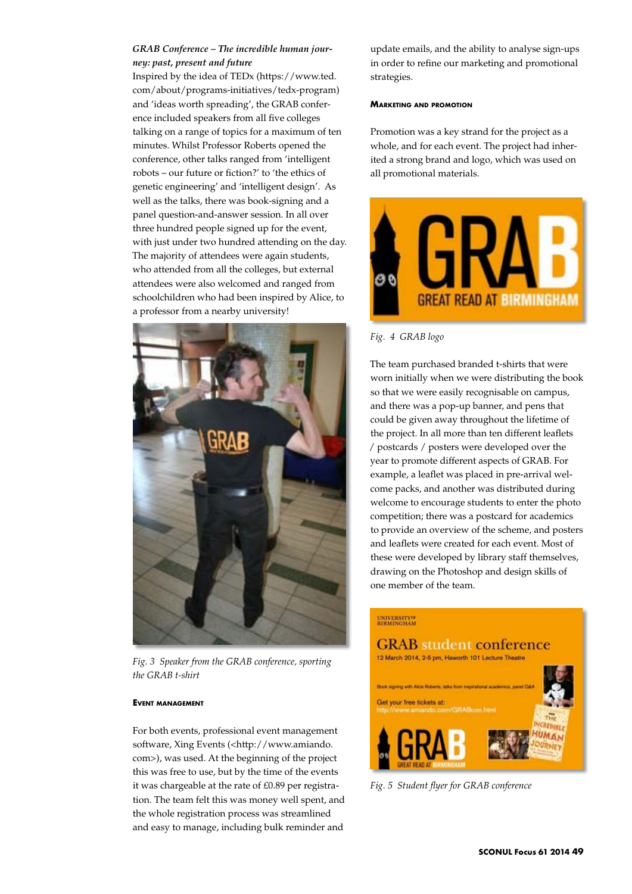## *GRAB Conference – The incredible human journey: past, present and future*

Inspired by the idea of TEDx (https://www.ted. com/about/programs-initiatives/tedx-program) and 'ideas worth spreading', the GRAB conference included speakers from all five colleges talking on a range of topics for a maximum of ten minutes. Whilst Professor Roberts opened the conference, other talks ranged from 'intelligent robots – our future or fiction?' to 'the ethics of genetic engineering' and 'intelligent design'. As well as the talks, there was book-signing and a panel question-and-answer session. In all over three hundred people signed up for the event, with just under two hundred attending on the day. The majority of attendees were again students, who attended from all the colleges, but external attendees were also welcomed and ranged from schoolchildren who had been inspired by Alice, to a professor from a nearby university!



*Fig. 3 Speaker from the GRAB conference, sporting the GRAB t-shirt*

## **Event management**

For both events, professional event management software, Xing Events (<http://www.amiando. com>), was used. At the beginning of the project this was free to use, but by the time of the events it was chargeable at the rate of £0.89 per registration. The team felt this was money well spent, and the whole registration process was streamlined and easy to manage, including bulk reminder and

update emails, and the ability to analyse sign-ups in order to refine our marketing and promotional strategies.

#### **Marketing and promotion**

Promotion was a key strand for the project as a whole, and for each event. The project had inherited a strong brand and logo, which was used on all promotional materials.



*Fig. 4 GRAB logo* 

The team purchased branded t-shirts that were worn initially when we were distributing the book so that we were easily recognisable on campus, and there was a pop-up banner, and pens that could be given away throughout the lifetime of the project. In all more than ten different leaflets / postcards / posters were developed over the year to promote different aspects of GRAB. For example, a leaflet was placed in pre-arrival welcome packs, and another was distributed during welcome to encourage students to enter the photo competition; there was a postcard for academics to provide an overview of the scheme, and posters and leaflets were created for each event. Most of these were developed by library staff themselves, drawing on the Photoshop and design skills of one member of the team.

# UNIVERSITY<sup>OF</sup><br>BIRMINGHAM



*Fig. 5 Student flyer for GRAB conference*